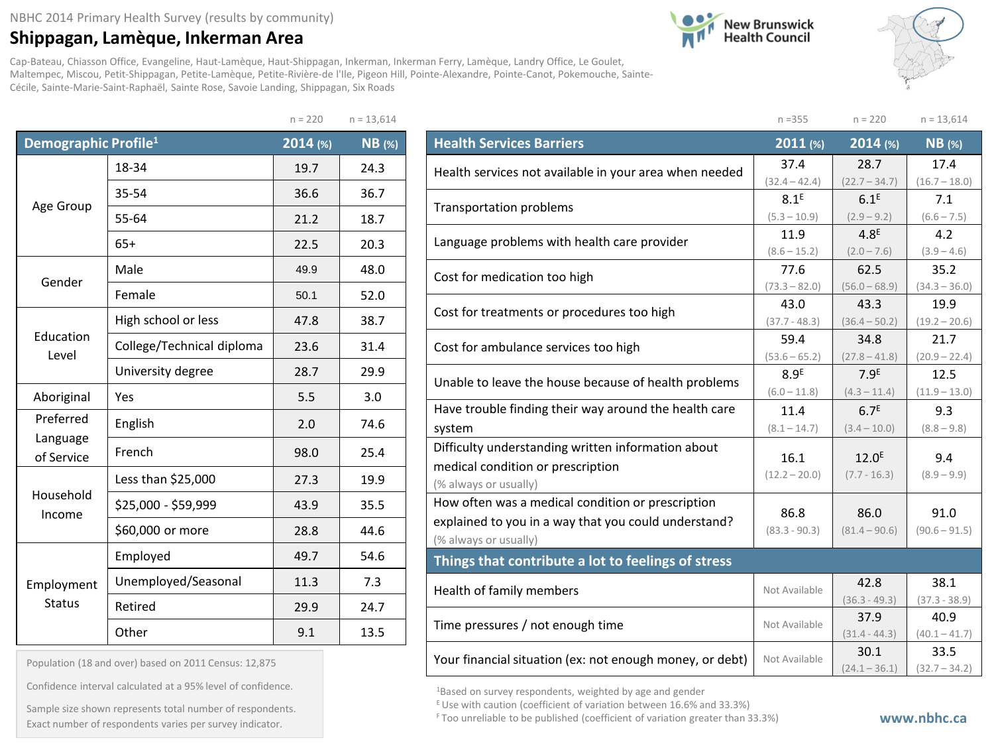## **Shippagan, Lamèque, Inkerman Area**

**New Brunswick**<br>Health Council



Cap-Bateau, Chiasson Office, Evangeline, Haut-Lamèque, Haut-Shippagan, Inkerman, Inkerman Ferry, Lamèque, Landry Office, Le Goulet, Maltempec, Miscou, Petit-Shippagan, Petite-Lamèque, Petite-Rivière-de l'Ile, Pigeon Hill, Pointe-Alexandre, Pointe-Canot, Pokemouche, Sainte-Cécile, Sainte-Marie-Saint-Raphaël, Sainte Rose, Savoie Landing, Shippagan, Six Roads

|                                  |                           | $n = 220$ | $n = 13,614$ |
|----------------------------------|---------------------------|-----------|--------------|
| Demographic Profile <sup>1</sup> |                           | 2014 (%)  | $NB$ (%)     |
|                                  | 18-34                     | 19.7      | 24.3         |
| Age Group                        | 35-54                     | 36.6      | 36.7         |
|                                  | 55-64                     | 21.2      | 18.7         |
|                                  | $65+$                     | 22.5      | 20.3         |
| Gender                           | Male                      | 49.9      | 48.0         |
|                                  | Female                    | 50.1      | 52.0         |
|                                  | High school or less       | 47.8      | 38.7         |
| Education<br>Level               | College/Technical diploma | 23.6      | 31.4         |
|                                  | University degree         | 28.7      | 29.9         |
| Aboriginal                       | Yes                       | 5.5       | 3.0          |
| Preferred                        | English                   | 2.0       | 74.6         |
| Language<br>of Service           | French                    | 98.0      | 25.4         |
|                                  | Less than \$25,000        | 27.3      | 19.9         |
| Household<br>Income              | \$25,000 - \$59,999       | 43.9      | 35.5         |
|                                  | \$60,000 or more          | 28.8      | 44.6         |
|                                  | Employed                  | 49.7      | 54.6         |
| Employment                       | Unemployed/Seasonal       | 11.3      | 7.3          |
| <b>Status</b>                    | Retired                   | 29.9      | 24.7         |
|                                  | Other                     | 9.1       | 13.5         |

| Population (18 and over) based on 2011 Census: 12,875 |  |  |  |  |  |
|-------------------------------------------------------|--|--|--|--|--|
|-------------------------------------------------------|--|--|--|--|--|

Confidence interval calculated at a 95% level of confidence.

Exact number of respondents varies per survey indicator.<br>Exact number of respondents varies per survey indicator. Sample size shown represents total number of respondents.

|                                                          | $n = 355$              | $n = 220$                         | $n = 13,614$         |  |  |  |
|----------------------------------------------------------|------------------------|-----------------------------------|----------------------|--|--|--|
| <b>Health Services Barriers</b>                          | 2011 (%)               | 2014 (%)                          | $NB$ (%)             |  |  |  |
| Health services not available in your area when needed   | 37.4                   | 28.7                              | 17.4                 |  |  |  |
|                                                          | $(32.4 - 42.4)$        | $(22.7 - 34.7)$                   | $(16.7 - 18.0)$      |  |  |  |
| <b>Transportation problems</b>                           | 8.1 <sup>E</sup>       | 6.1 <sup>E</sup>                  | 7.1                  |  |  |  |
|                                                          | $(5.3 - 10.9)$         | $(2.9 - 9.2)$                     | $(6.6 - 7.5)$        |  |  |  |
| Language problems with health care provider              | 11.9<br>$(8.6 - 15.2)$ | 4.8 <sup>E</sup><br>$(2.0 - 7.6)$ | 4.2<br>$(3.9 - 4.6)$ |  |  |  |
|                                                          | 77.6                   | 62.5                              | 35.2                 |  |  |  |
| Cost for medication too high                             | $(73.3 - 82.0)$        | $(56.0 - 68.9)$                   | $(34.3 - 36.0)$      |  |  |  |
|                                                          | 43.0                   | 43.3                              | 19.9                 |  |  |  |
| Cost for treatments or procedures too high               | $(37.7 - 48.3)$        | $(36.4 - 50.2)$                   | $(19.2 - 20.6)$      |  |  |  |
| Cost for ambulance services too high                     | 59.4                   | 34.8                              | 21.7                 |  |  |  |
|                                                          | $(53.6 - 65.2)$        | $(27.8 - 41.8)$                   | $(20.9 - 22.4)$      |  |  |  |
| Unable to leave the house because of health problems     | 8.9 <sup>E</sup>       | 7.9 <sup>E</sup>                  | 12.5                 |  |  |  |
|                                                          | $(6.0 - 11.8)$         | $(4.3 - 11.4)$                    | $(11.9 - 13.0)$      |  |  |  |
| Have trouble finding their way around the health care    | 11.4                   | 6.7 <sup>E</sup>                  | 9.3                  |  |  |  |
| system                                                   | $(8.1 - 14.7)$         | $(3.4 - 10.0)$                    | $(8.8 - 9.8)$        |  |  |  |
| Difficulty understanding written information about       | 16.1                   | 12.0 <sup>E</sup>                 | 9.4                  |  |  |  |
| medical condition or prescription                        | $(12.2 - 20.0)$        | $(7.7 - 16.3)$                    | $(8.9 - 9.9)$        |  |  |  |
| (% always or usually)                                    |                        |                                   |                      |  |  |  |
| How often was a medical condition or prescription        | 86.8                   | 86.0                              | 91.0                 |  |  |  |
| explained to you in a way that you could understand?     | $(83.3 - 90.3)$        | $(81.4 - 90.6)$                   | $(90.6 - 91.5)$      |  |  |  |
| (% always or usually)                                    |                        |                                   |                      |  |  |  |
| Things that contribute a lot to feelings of stress       |                        |                                   |                      |  |  |  |
| Health of family members                                 | Not Available          | 42.8                              | 38.1                 |  |  |  |
|                                                          |                        | $(36.3 - 49.3)$                   | $(37.3 - 38.9)$      |  |  |  |
| Time pressures / not enough time                         | Not Available          | 37.9                              | 40.9                 |  |  |  |
|                                                          |                        | $(31.4 - 44.3)$                   | $(40.1 - 41.7)$      |  |  |  |
| Your financial situation (ex: not enough money, or debt) | Not Available          | 30.1                              | 33.5                 |  |  |  |
|                                                          |                        | $(24.1 - 36.1)$                   | $(32.7 - 34.2)$      |  |  |  |

1Based on survey respondents, weighted by age and gender

 $E$  Use with caution (coefficient of variation between 16.6% and 33.3%)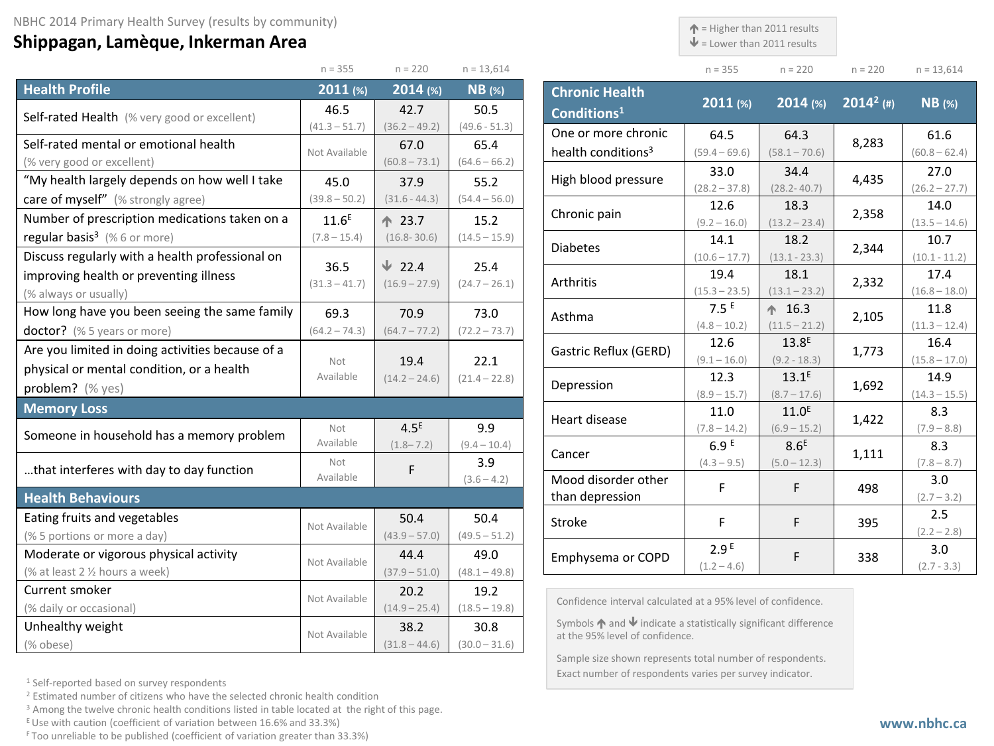## **Shippagan, Lamèque, Inkerman Area**

 $\uparrow$  = Higher than 2011 results

 $\blacklozenge$  = Lower than 2011 results

|                                                                     | $n = 355$             | $n = 220$               | $n = 13,614$            |                                                                                                                      | $n = 355$                         | $n = 220$                  | $n = 220$    | $n = 13,614$            |
|---------------------------------------------------------------------|-----------------------|-------------------------|-------------------------|----------------------------------------------------------------------------------------------------------------------|-----------------------------------|----------------------------|--------------|-------------------------|
| <b>Health Profile</b>                                               | $2011$ (%)            | $2014$ (%)              | $NB$ (%)                | <b>Chronic Health</b>                                                                                                | 2011 (%)                          | $2014$ (%)                 | $2014^2$ (#) | $NB$ (%)                |
| Self-rated Health (% very good or excellent)                        | 46.5                  | 42.7                    | 50.5                    | Conditions <sup>1</sup>                                                                                              |                                   |                            |              |                         |
|                                                                     | $(41.3 - 51.7)$       | $(36.2 - 49.2)$         | $(49.6 - 51.3)$         | One or more chronic                                                                                                  | 64.5                              | 64.3                       | 8,283        | 61.6                    |
| Self-rated mental or emotional health<br>(% very good or excellent) | Not Available         | 67.0<br>$(60.8 - 73.1)$ | 65.4<br>$(64.6 - 66.2)$ | health conditions <sup>3</sup>                                                                                       | $(59.4 - 69.6)$                   | $(58.1 - 70.6)$            |              | $(60.8 - 62.4)$         |
| "My health largely depends on how well I take                       | 45.0                  | 37.9                    | 55.2                    | High blood pressure                                                                                                  | 33.0                              | 34.4                       | 4,435        | 27.0                    |
| care of myself" (% strongly agree)                                  | $(39.8 - 50.2)$       | $(31.6 - 44.3)$         | $(54.4 - 56.0)$         |                                                                                                                      | $(28.2 - 37.8)$                   | $(28.2 - 40.7)$            |              | $(26.2 - 27.7)$         |
| Number of prescription medications taken on a                       | 11.6 <sup>E</sup>     | ↑ 23.7                  | 15.2                    | Chronic pain                                                                                                         | 12.6                              | 18.3                       | 2,358        | 14.0                    |
| regular basis <sup>3</sup> (%6 or more)                             | $(7.8 - 15.4)$        | $(16.8 - 30.6)$         | $(14.5 - 15.9)$         |                                                                                                                      | $(9.2 - 16.0)$<br>14.1            | $(13.2 - 23.4)$<br>18.2    |              | $(13.5 - 14.6)$<br>10.7 |
| Discuss regularly with a health professional on                     |                       |                         |                         | <b>Diabetes</b>                                                                                                      | $(10.6 - 17.7)$                   | $(13.1 - 23.3)$            | 2,344        | $(10.1 - 11.2)$         |
| improving health or preventing illness                              | 36.5                  | $\sqrt{22.4}$           | 25.4                    |                                                                                                                      | 19.4                              | 18.1                       |              | 17.4                    |
| (% always or usually)                                               | $(31.3 - 41.7)$       | $(16.9 - 27.9)$         | $(24.7 - 26.1)$         | Arthritis                                                                                                            | $(15.3 - 23.5)$                   | $(13.1 - 23.2)$            | 2,332        | $(16.8 - 18.0)$         |
| How long have you been seeing the same family                       | 69.3                  | 70.9                    | 73.0                    | Asthma                                                                                                               | 7.5E                              | $+ 16.3$                   | 2,105        | 11.8                    |
| doctor? (% 5 years or more)                                         | $(64.2 - 74.3)$       | $(64.7 - 77.2)$         | $(72.2 - 73.7)$         |                                                                                                                      | $(4.8 - 10.2)$                    | $(11.5 - 21.2)$            |              | $(11.3 - 12.4)$         |
| Are you limited in doing activities because of a                    |                       |                         |                         | Gastric Reflux (GERD)                                                                                                | 12.6                              | 13.8 <sup>E</sup>          | 1,773        | 16.4                    |
| physical or mental condition, or a health                           | Not                   | 19.4                    | 22.1                    |                                                                                                                      | $(9.1 - 16.0)$                    | $(9.2 - 18.3)$             |              | $(15.8 - 17.0)$         |
| problem? (% yes)                                                    | Available             | $(14.2 - 24.6)$         | $(21.4 - 22.8)$         | Depression                                                                                                           | 12.3<br>$(8.9 - 15.7)$            | $13.1^E$<br>$(8.7 - 17.6)$ | 1,692        | 14.9<br>$(14.3 - 15.5)$ |
| <b>Memory Loss</b>                                                  |                       |                         |                         |                                                                                                                      | 11.0                              | 11.0 <sup>E</sup>          |              | 8.3                     |
|                                                                     | Not                   | 4.5 <sup>E</sup>        | 9.9                     | Heart disease                                                                                                        | $(7.8 - 14.2)$                    | $(6.9 - 15.2)$             | 1,422        | $(7.9 - 8.8)$           |
| Someone in household has a memory problem                           | Available             | $(1.8 - 7.2)$           | $(9.4 - 10.4)$          |                                                                                                                      | 6.9E                              | 8.6 <sup>E</sup>           |              | 8.3                     |
| that interferes with day to day function                            | Not                   | F                       | 3.9                     | Cancer                                                                                                               | $(4.3 - 9.5)$                     | $(5.0 - 12.3)$             | 1,111        | $(7.8 - 8.7)$           |
|                                                                     | Available             |                         | $(3.6 - 4.2)$           | Mood disorder other                                                                                                  | F                                 | F.                         | 498          | 3.0                     |
| <b>Health Behaviours</b>                                            |                       |                         |                         | than depression                                                                                                      |                                   |                            |              | $(2.7 - 3.2)$           |
| Eating fruits and vegetables                                        | Not Available         | 50.4                    | 50.4                    | Stroke                                                                                                               | F.                                | F                          | 395          | 2.5                     |
| (% 5 portions or more a day)                                        |                       | $(43.9 - 57.0)$         | $(49.5 - 51.2)$         |                                                                                                                      |                                   |                            |              | $(2.2 - 2.8)$           |
| Moderate or vigorous physical activity                              | Not Available         | 44.4                    | 49.0                    | Emphysema or COPD                                                                                                    | 2.9 <sup>E</sup><br>$(1.2 - 4.6)$ | F                          | 338          | 3.0<br>$(2.7 - 3.3)$    |
| (% at least 2 % hours a week)                                       |                       | $(37.9 - 51.0)$         | $(48.1 - 49.8)$         |                                                                                                                      |                                   |                            |              |                         |
| Current smoker                                                      | Not Available         | 20.2                    | 19.2                    | Confidence interval calculated at a 95% level of confidence.                                                         |                                   |                            |              |                         |
| (% daily or occasional)                                             |                       | $(14.9 - 25.4)$         | $(18.5 - 19.8)$         |                                                                                                                      |                                   |                            |              |                         |
| Unhealthy weight                                                    | 38.2<br>Not Available |                         | 30.8                    | Symbols $\bigwedge$ and $\bigvee$ indicate a statistically significant difference<br>at the 95% level of confidence. |                                   |                            |              |                         |
| (% obese)                                                           |                       | $(31.8 - 44.6)$         | $(30.0 - 31.6)$         |                                                                                                                      |                                   |                            |              |                         |

<sup>1</sup> Self-reported based on survey respondents

<sup>2</sup> Estimated number of citizens who have the selected chronic health condition

<sup>3</sup> Among the twelve chronic health conditions listed in table located at the right of this page.

 $E$  Use with caution (coefficient of variation between 16.6% and 33.3%)

F Too unreliable to be published (coefficient of variation greater than 33.3%)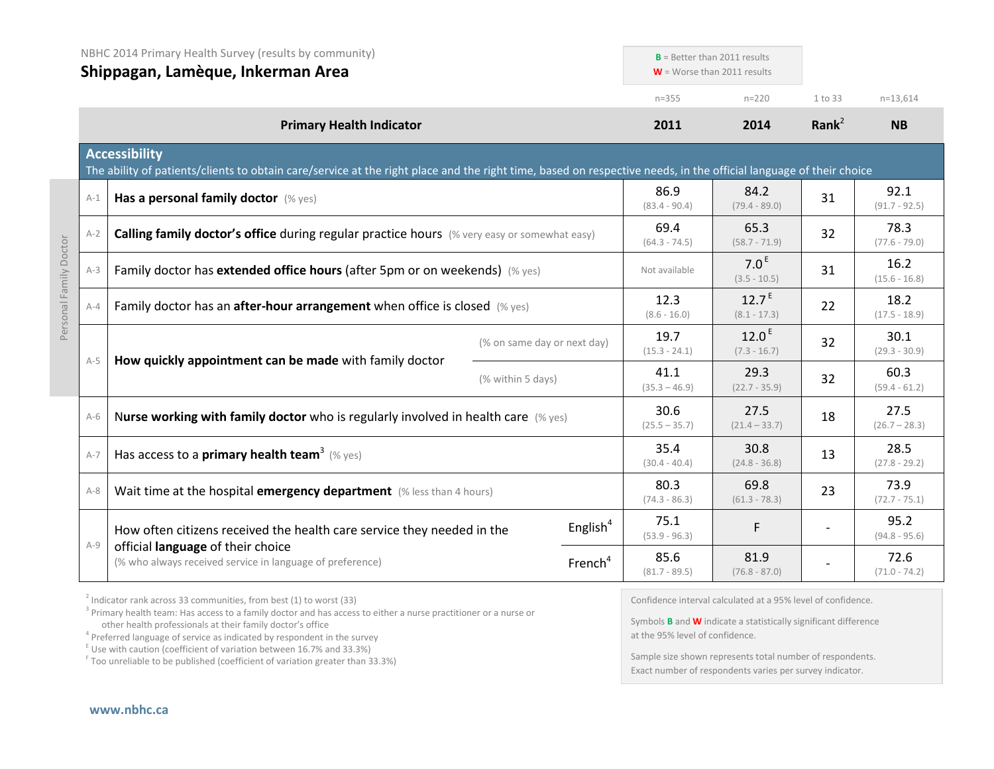|         | NBHC 2014 Primary Health Survey (results by community)<br>Shippagan, Lamèque, Inkerman Area                                                                                               |                             |                         | $B =$ Better than 2011 results<br>$W =$ Worse than 2011 results |                         |                         |
|---------|-------------------------------------------------------------------------------------------------------------------------------------------------------------------------------------------|-----------------------------|-------------------------|-----------------------------------------------------------------|-------------------------|-------------------------|
|         |                                                                                                                                                                                           |                             | $n = 355$               | $n = 220$                                                       | 1 to 33                 | $n=13,614$              |
|         | <b>Primary Health Indicator</b>                                                                                                                                                           |                             | 2011                    | 2014                                                            | Rank $^2$               | <b>NB</b>               |
|         | <b>Accessibility</b><br>The ability of patients/clients to obtain care/service at the right place and the right time, based on respective needs, in the official language of their choice |                             |                         |                                                                 |                         |                         |
| $A-1$   | Has a personal family doctor (% yes)                                                                                                                                                      |                             | 86.9<br>$(83.4 - 90.4)$ | 84.2<br>$(79.4 - 89.0)$                                         | 31                      | 92.1<br>$(91.7 - 92.5)$ |
| $A-2$   | Calling family doctor's office during regular practice hours (% very easy or somewhat easy)                                                                                               |                             | 69.4<br>$(64.3 - 74.5)$ | 65.3<br>$(58.7 - 71.9)$                                         | 32                      | 78.3<br>$(77.6 - 79.0)$ |
| $A-3$   | Family doctor has extended office hours (after 5pm or on weekends) (% yes)                                                                                                                |                             |                         | 7.0 <sup>E</sup><br>$(3.5 - 10.5)$                              | 31                      | 16.2<br>$(15.6 - 16.8)$ |
| $A-4$   | Family doctor has an after-hour arrangement when office is closed (% yes)                                                                                                                 |                             |                         | $12.7^E$<br>$(8.1 - 17.3)$                                      | 22                      | 18.2<br>$(17.5 - 18.9)$ |
|         |                                                                                                                                                                                           | (% on same day or next day) | 19.7<br>$(15.3 - 24.1)$ | 12.0 <sup>E</sup><br>$(7.3 - 16.7)$                             | 32                      | 30.1<br>$(29.3 - 30.9)$ |
| $A-5$   | How quickly appointment can be made with family doctor<br>(% within 5 days)                                                                                                               | 41.1<br>$(35.3 - 46.9)$     | 29.3<br>$(22.7 - 35.9)$ | 32                                                              | 60.3<br>$(59.4 - 61.2)$ |                         |
| $A-6$   | Nurse working with family doctor who is regularly involved in health care $(\%$ yes)                                                                                                      |                             | 30.6<br>$(25.5 - 35.7)$ | 27.5<br>$(21.4 - 33.7)$                                         | 18                      | 27.5<br>$(26.7 - 28.3)$ |
| $A-7$   | Has access to a <b>primary health team</b> <sup>3</sup> (% yes)                                                                                                                           |                             | 35.4<br>$(30.4 - 40.4)$ | 30.8<br>$(24.8 - 36.8)$                                         | 13                      | 28.5<br>$(27.8 - 29.2)$ |
| $A - 8$ | Wait time at the hospital emergency department (% less than 4 hours)                                                                                                                      |                             | 80.3<br>$(74.3 - 86.3)$ | 69.8<br>$(61.3 - 78.3)$                                         | 23                      | 73.9<br>$(72.7 - 75.1)$ |
|         | How often citizens received the health care service they needed in the                                                                                                                    | English $4$                 | 75.1<br>$(53.9 - 96.3)$ | F                                                               |                         | 95.2<br>$(94.8 - 95.6)$ |
| $A-9$   | official language of their choice<br>(% who always received service in language of preference)<br>French <sup>4</sup>                                                                     |                             | 85.6<br>$(81.7 - 89.5)$ | 81.9<br>$(76.8 - 87.0)$                                         |                         | 72.6<br>$(71.0 - 74.2)$ |

 $2$  Indicator rank across 33 communities, from best (1) to worst (33)

<sup>3</sup> Primary health team: Has access to a family doctor and has access to either a nurse practitioner or a nurse or other health professionals at their family doctor's office

 $\frac{1}{2}$  Use with caution (coefficient of variation between 16.7% and 33.3%)

<sup>F</sup> Too unreliable to be published (coefficient of variation greater than 33.3%)

Confidence interval calculated at a 95% level of confidence.

Symbols **B** and **W** indicate a statistically significant difference at the 95% level of confidence.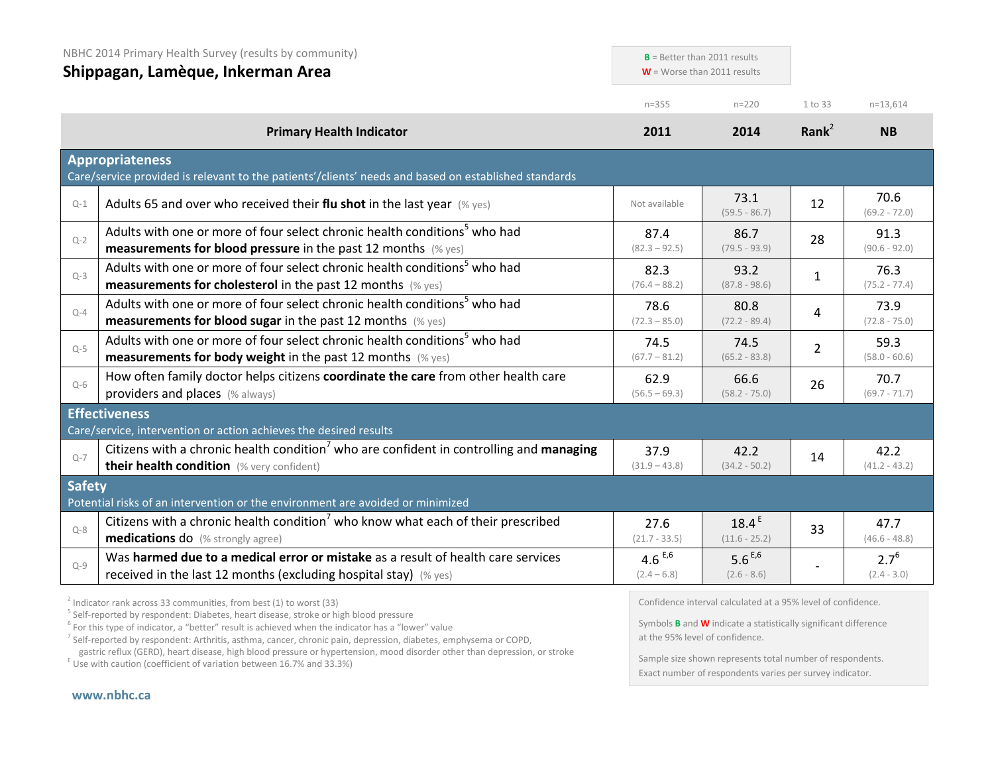| NBHC 2014 Primary Health Survey (results by community)<br>Shippagan, Lamèque, Inkerman Area |                                                                                                                                                                                                                                                                                                                                                                                                                  | $B =$ Better than 2011 results<br>$W =$ Worse than 2011 results |                                                                                                                                               |                   |                            |
|---------------------------------------------------------------------------------------------|------------------------------------------------------------------------------------------------------------------------------------------------------------------------------------------------------------------------------------------------------------------------------------------------------------------------------------------------------------------------------------------------------------------|-----------------------------------------------------------------|-----------------------------------------------------------------------------------------------------------------------------------------------|-------------------|----------------------------|
|                                                                                             |                                                                                                                                                                                                                                                                                                                                                                                                                  | $n = 355$                                                       | $n = 220$                                                                                                                                     | 1 to 33           | $n=13,614$                 |
|                                                                                             | <b>Primary Health Indicator</b>                                                                                                                                                                                                                                                                                                                                                                                  | 2011                                                            | 2014                                                                                                                                          | Rank <sup>2</sup> | <b>NB</b>                  |
|                                                                                             | <b>Appropriateness</b><br>Care/service provided is relevant to the patients'/clients' needs and based on established standards                                                                                                                                                                                                                                                                                   |                                                                 |                                                                                                                                               |                   |                            |
| $Q-1$                                                                                       | Adults 65 and over who received their flu shot in the last year $(\%$ yes)                                                                                                                                                                                                                                                                                                                                       | Not available                                                   | 73.1<br>$(59.5 - 86.7)$                                                                                                                       | 12                | 70.6<br>$(69.2 - 72.0)$    |
| $Q-2$                                                                                       | Adults with one or more of four select chronic health conditions <sup>5</sup> who had<br><b>measurements for blood pressure</b> in the past 12 months (% yes)                                                                                                                                                                                                                                                    | 87.4<br>$(82.3 - 92.5)$                                         | 86.7<br>$(79.5 - 93.9)$                                                                                                                       | 28                | 91.3<br>$(90.6 - 92.0)$    |
| $Q-3$                                                                                       | Adults with one or more of four select chronic health conditions <sup>5</sup> who had<br><b>measurements for cholesterol</b> in the past 12 months (% yes)                                                                                                                                                                                                                                                       | 82.3<br>$(76.4 - 88.2)$                                         | 93.2<br>$(87.8 - 98.6)$                                                                                                                       | $\mathbf{1}$      | 76.3<br>$(75.2 - 77.4)$    |
| $Q - 4$                                                                                     | Adults with one or more of four select chronic health conditions <sup>5</sup> who had<br><b>measurements for blood sugar in the past 12 months</b> (% yes)                                                                                                                                                                                                                                                       | 78.6<br>$(72.3 - 85.0)$                                         | 80.8<br>$(72.2 - 89.4)$                                                                                                                       | 4                 | 73.9<br>$(72.8 - 75.0)$    |
| $Q-5$                                                                                       | Adults with one or more of four select chronic health conditions <sup>5</sup> who had<br><b>measurements for body weight</b> in the past 12 months $(\%$ yes)                                                                                                                                                                                                                                                    | 74.5<br>$(67.7 - 81.2)$                                         | 74.5<br>$(65.2 - 83.8)$                                                                                                                       | $\overline{2}$    | 59.3<br>$(58.0 - 60.6)$    |
| $Q-6$                                                                                       | How often family doctor helps citizens coordinate the care from other health care<br>providers and places (% always)                                                                                                                                                                                                                                                                                             | 62.9<br>$(56.5 - 69.3)$                                         | 66.6<br>$(58.2 - 75.0)$                                                                                                                       | 26                | 70.7<br>$(69.7 - 71.7)$    |
|                                                                                             | <b>Effectiveness</b><br>Care/service, intervention or action achieves the desired results                                                                                                                                                                                                                                                                                                                        |                                                                 |                                                                                                                                               |                   |                            |
| $Q - 7$                                                                                     | Citizens with a chronic health condition <sup>7</sup> who are confident in controlling and managing<br>their health condition (% very confident)                                                                                                                                                                                                                                                                 | 37.9<br>$(31.9 - 43.8)$                                         | 42.2<br>$(34.2 - 50.2)$                                                                                                                       | 14                | 42.2<br>$(41.2 - 43.2)$    |
| <b>Safety</b>                                                                               | Potential risks of an intervention or the environment are avoided or minimized                                                                                                                                                                                                                                                                                                                                   |                                                                 |                                                                                                                                               |                   |                            |
| $Q - 8$                                                                                     | Citizens with a chronic health condition <sup>7</sup> who know what each of their prescribed<br><b>medications do</b> (% strongly agree)                                                                                                                                                                                                                                                                         | 27.6<br>$(21.7 - 33.5)$                                         | 18.4 <sup>E</sup><br>$(11.6 - 25.2)$                                                                                                          | 33                | 47.7<br>$(46.6 - 48.8)$    |
| $Q - 9$                                                                                     | Was harmed due to a medical error or mistake as a result of health care services<br>received in the last 12 months (excluding hospital stay) (% yes)                                                                                                                                                                                                                                                             | 4.6 $E,6$<br>$(2.4 - 6.8)$                                      | 5.6 $E,6$<br>$(2.6 - 8.6)$                                                                                                                    |                   | $2.7^{6}$<br>$(2.4 - 3.0)$ |
|                                                                                             | $2$ Indicator rank across 33 communities, from best (1) to worst (33)<br><sup>5</sup> Self-reported by respondent: Diabetes, heart disease, stroke or high blood pressure<br>$6$ For this type of indicator, a "better" result is achieved when the indicator has a "lower" value<br><sup>7</sup> Self-reported by respondent: Arthritis, asthma, cancer, chronic pain, depression, diabetes, emphysema or COPD, | at the 95% level of confidence.                                 | Confidence interval calculated at a 95% level of confidence.<br>Symbols <b>B</b> and <b>W</b> indicate a statistically significant difference |                   |                            |

gastric reflux (GERD), heart disease, high blood pressure or hypertension, mood disorder other than depression, or stroke E Use with caution (coefficient of variation between 16.7% and 33.3%)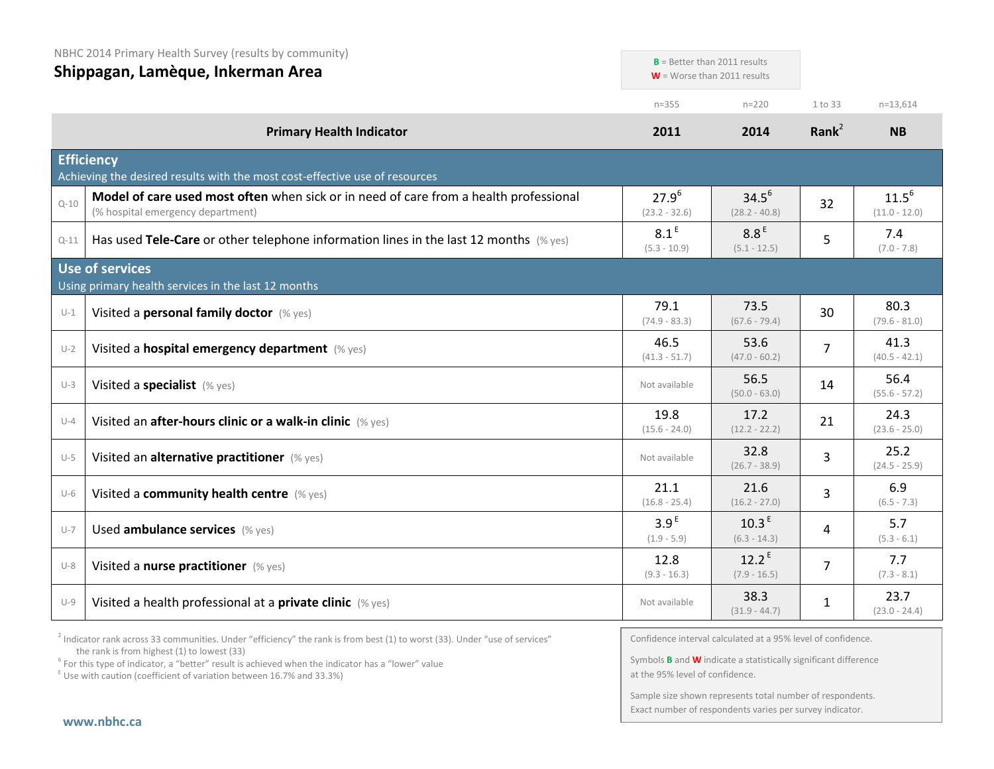| NBHC 2014 Primary Health Survey (results by community)<br>Shippagan, Lamèque, Inkerman Area |                                                                                                                            | $B$ = Better than 2011 results<br>$W =$ Worse than 2011 results |                                     |              |                               |
|---------------------------------------------------------------------------------------------|----------------------------------------------------------------------------------------------------------------------------|-----------------------------------------------------------------|-------------------------------------|--------------|-------------------------------|
|                                                                                             |                                                                                                                            | $n = 355$                                                       | $n = 220$                           | 1 to 33      | $n = 13,614$                  |
|                                                                                             | <b>Primary Health Indicator</b>                                                                                            | 2011                                                            | 2014                                | Rank $2$     | <b>NB</b>                     |
|                                                                                             | <b>Efficiency</b><br>Achieving the desired results with the most cost-effective use of resources                           |                                                                 |                                     |              |                               |
| $Q - 10$                                                                                    | Model of care used most often when sick or in need of care from a health professional<br>(% hospital emergency department) | $27.9^{6}$<br>$(23.2 - 32.6)$                                   | $34.5^{6}$<br>$(28.2 - 40.8)$       | 32           | $11.5^{6}$<br>$(11.0 - 12.0)$ |
| $Q-11$                                                                                      | Has used Tele-Care or other telephone information lines in the last 12 months $(\%$ yes)                                   | 8.1 <sup>E</sup><br>$(5.3 - 10.9)$                              | 8.8 <sup>E</sup><br>$(5.1 - 12.5)$  | 5            | 7.4<br>$(7.0 - 7.8)$          |
|                                                                                             | <b>Use of services</b><br>Using primary health services in the last 12 months                                              |                                                                 |                                     |              |                               |
| $U-1$                                                                                       | Visited a personal family doctor (% yes)                                                                                   | 79.1<br>$(74.9 - 83.3)$                                         | 73.5<br>$(67.6 - 79.4)$             | 30           | 80.3<br>$(79.6 - 81.0)$       |
| $U-2$                                                                                       | Visited a hospital emergency department (% yes)                                                                            | 46.5<br>$(41.3 - 51.7)$                                         | 53.6<br>$(47.0 - 60.2)$             | 7            | 41.3<br>$(40.5 - 42.1)$       |
| $U-3$                                                                                       | Visited a specialist (% yes)                                                                                               | Not available                                                   | 56.5<br>$(50.0 - 63.0)$             | 14           | 56.4<br>$(55.6 - 57.2)$       |
| $U-4$                                                                                       | Visited an after-hours clinic or a walk-in clinic (% yes)                                                                  | 19.8<br>$(15.6 - 24.0)$                                         | 17.2<br>$(12.2 - 22.2)$             | 21           | 24.3<br>$(23.6 - 25.0)$       |
| $U-5$                                                                                       | Visited an alternative practitioner (% yes)                                                                                | Not available                                                   | 32.8<br>$(26.7 - 38.9)$             | 3            | 25.2<br>$(24.5 - 25.9)$       |
| $U-6$                                                                                       | Visited a community health centre (% yes)                                                                                  | 21.1<br>$(16.8 - 25.4)$                                         | 21.6<br>$(16.2 - 27.0)$             | 3            | 6.9<br>$(6.5 - 7.3)$          |
| $U-7$                                                                                       | Used ambulance services (% yes)                                                                                            | 3.9 <sup>E</sup><br>$(1.9 - 5.9)$                               | 10.3 <sup>E</sup><br>$(6.3 - 14.3)$ | 4            | 5.7<br>$(5.3 - 6.1)$          |
| $U-8$                                                                                       | Visited a nurse practitioner (% yes)                                                                                       | 12.8<br>$(9.3 - 16.3)$                                          | $12.2^E$<br>$(7.9 - 16.5)$          | 7            | 7.7<br>$(7.3 - 8.1)$          |
| $U-9$                                                                                       | Visited a health professional at a private clinic (% yes)                                                                  | Not available                                                   | 38.3<br>$(31.9 - 44.7)$             | $\mathbf{1}$ | 23.7<br>$(23.0 - 24.4)$       |

 $2$  Indicator rank across 33 communities. Under "efficiency" the rank is from best (1) to worst (33). Under "use of services" the rank is from highest (1) to lowest (33)

<sup>6</sup> For this type of indicator, a "better" result is achieved when the indicator has a "lower" value  $E$ <sup>E</sup> Use with caution (coefficient of variation between 16.7% and 33.3%)

Confidence interval calculated at a 95% level of confidence.

Symbols **B** and **W** indicate a statistically significant difference at the 95% level of confidence.